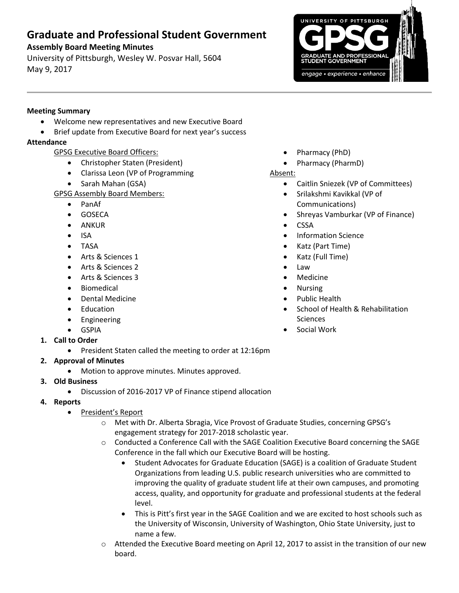# **Graduate and Professional Student Government**

## **Assembly Board Meeting Minutes**

University of Pittsburgh, Wesley W. Posvar Hall, 5604 May 9, 2017



### **Meeting Summary**

- Welcome new representatives and new Executive Board
	- Brief update from Executive Board for next year's success

## **Attendance**

- GPSG Executive Board Officers:
	- Christopher Staten (President)
	- Clarissa Leon (VP of Programming
	- Sarah Mahan (GSA)
- GPSG Assembly Board Members:
	- PanAf
	- **•** GOSECA
	- ANKUR
	- ISA
	- TASA
	- Arts & Sciences 1
	- Arts & Sciences 2
	- Arts & Sciences 3
	- **•** Biomedical
	- Dental Medicine
	- Education
	- Engineering
	- GSPIA
- **1. Call to Order**
	- President Staten called the meeting to order at 12:16pm

# **2. Approval of Minutes**

- Motion to approve minutes. Minutes approved.
- **3. Old Business**
	- Discussion of 2016-2017 VP of Finance stipend allocation
- **4. Reports** 
	- President's Report
		- o Met with Dr. Alberta Sbragia, Vice Provost of Graduate Studies, concerning GPSG's engagement strategy for 2017-2018 scholastic year.
		- o Conducted a Conference Call with the SAGE Coalition Executive Board concerning the SAGE Conference in the fall which our Executive Board will be hosting.
			- Student Advocates for Graduate Education (SAGE) is a coalition of Graduate Student Organizations from leading U.S. public research universities who are committed to improving the quality of graduate student life at their own campuses, and promoting access, quality, and opportunity for graduate and professional students at the federal level.
			- This is Pitt's first year in the SAGE Coalition and we are excited to host schools such as the University of Wisconsin, University of Washington, Ohio State University, just to name a few.
		- o Attended the Executive Board meeting on April 12, 2017 to assist in the transition of our new board.
- Pharmacy (PhD)
- Pharmacy (PharmD)

## Absent:

- Caitlin Sniezek (VP of Committees)
- Srilakshmi Kavikkal (VP of Communications)
- Shreyas Vamburkar (VP of Finance)
- CSSA
- Information Science
- Katz (Part Time)
- Katz (Full Time)
- Law
- Medicine
- Nursing
- Public Health
- School of Health & Rehabilitation Sciences
- Social Work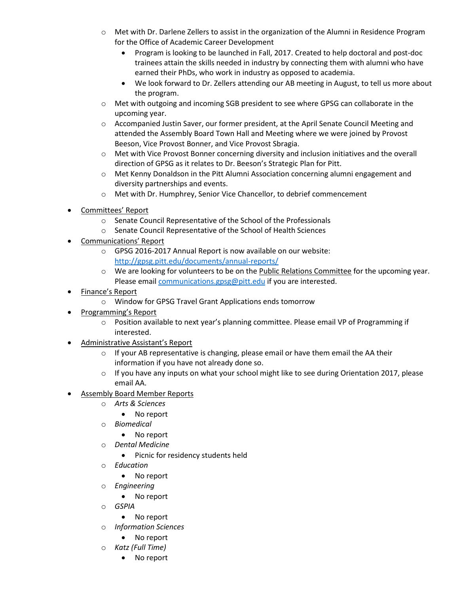- o Met with Dr. Darlene Zellers to assist in the organization of the Alumni in Residence Program for the Office of Academic Career Development
	- Program is looking to be launched in Fall, 2017. Created to help doctoral and post-doc trainees attain the skills needed in industry by connecting them with alumni who have earned their PhDs, who work in industry as opposed to academia.
	- We look forward to Dr. Zellers attending our AB meeting in August, to tell us more about the program.
- o Met with outgoing and incoming SGB president to see where GPSG can collaborate in the upcoming year.
- o Accompanied Justin Saver, our former president, at the April Senate Council Meeting and attended the Assembly Board Town Hall and Meeting where we were joined by Provost Beeson, Vice Provost Bonner, and Vice Provost Sbragia.
- $\circ$  Met with Vice Provost Bonner concerning diversity and inclusion initiatives and the overall direction of GPSG as it relates to Dr. Beeson's Strategic Plan for Pitt.
- o Met Kenny Donaldson in the Pitt Alumni Association concerning alumni engagement and diversity partnerships and events.
- o Met with Dr. Humphrey, Senior Vice Chancellor, to debrief commencement
- Committees' Report
	- o Senate Council Representative of the School of the Professionals
	- o Senate Council Representative of the School of Health Sciences
- Communications' Report
	- o GPSG 2016-2017 Annual Report is now available on our website: <http://gpsg.pitt.edu/documents/annual-reports/>
	- o We are looking for volunteers to be on the Public Relations Committee for the upcoming year. Please email [communications.gpsg@pitt.edu](mailto:communications.gpsg@pitt.edu) if you are interested.
- Finance's Report
	- o Window for GPSG Travel Grant Applications ends tomorrow
- Programming's Report
	- o Position available to next year's planning committee. Please email VP of Programming if interested.
- Administrative Assistant's Report
	- $\circ$  If your AB representative is changing, please email or have them email the AA their information if you have not already done so.
	- $\circ$  If you have any inputs on what your school might like to see during Orientation 2017, please email AA.
- Assembly Board Member Reports
	- o *Arts & Sciences*
		- No report
	- o *Biomedical*
		- No report
	- o *Dental Medicine*
		- Picnic for residency students held
	- o *Education*
		- No report
	- o *Engineering*
		- No report
	- o *GSPIA*
		- No report
	- o *Information Sciences*
		- No report
	- o *Katz (Full Time)*
		- No report